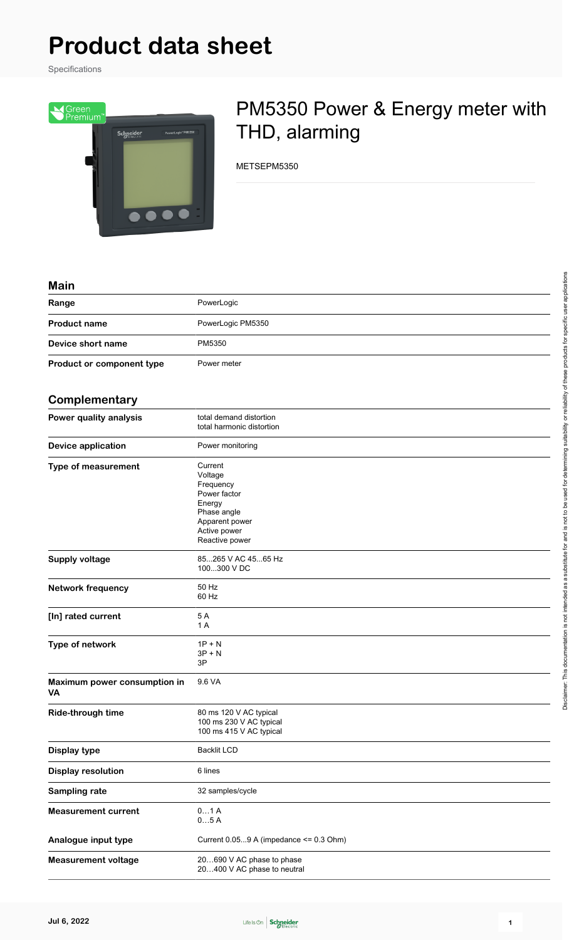# **Product data sheet**

Specifications



# PM5350 Power & Energy meter with THD, alarming

METSEPM5350

| ,,,,,,,                            |                                                                                                                              |
|------------------------------------|------------------------------------------------------------------------------------------------------------------------------|
| Range                              | PowerLogic                                                                                                                   |
| <b>Product name</b>                | PowerLogic PM5350                                                                                                            |
| Device short name                  | PM5350                                                                                                                       |
| Product or component type          | Power meter                                                                                                                  |
| Complementary                      |                                                                                                                              |
| Power quality analysis             | total demand distortion<br>total harmonic distortion                                                                         |
| <b>Device application</b>          | Power monitoring                                                                                                             |
| Type of measurement                | Current<br>Voltage<br>Frequency<br>Power factor<br>Energy<br>Phase angle<br>Apparent power<br>Active power<br>Reactive power |
| <b>Supply voltage</b>              | 85265 V AC 4565 Hz<br>100300 V DC                                                                                            |
| <b>Network frequency</b>           | 50 Hz<br>60 Hz                                                                                                               |
| [In] rated current                 | 5A<br>1 A                                                                                                                    |
| Type of network                    | $1P + N$<br>$3P + N$<br>3P                                                                                                   |
| Maximum power consumption in<br>VA | 9.6 VA                                                                                                                       |
| Ride-through time                  | 80 ms 120 V AC typical<br>100 ms 230 V AC typical<br>100 ms 415 V AC typical                                                 |
| <b>Display type</b>                | <b>Backlit LCD</b>                                                                                                           |
| <b>Display resolution</b>          | 6 lines                                                                                                                      |
| Sampling rate                      | 32 samples/cycle                                                                                                             |
| <b>Measurement current</b>         | 01A<br>05A                                                                                                                   |
| Analogue input type                | Current 0.059 A (impedance <= 0.3 Ohm)                                                                                       |
| <b>Measurement voltage</b>         | 20690 V AC phase to phase<br>20400 V AC phase to neutral                                                                     |

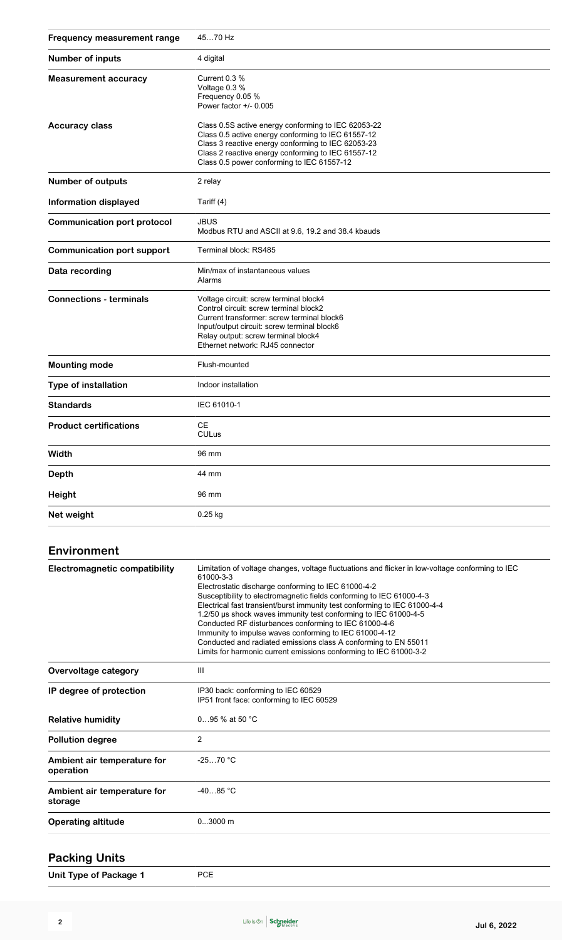| <b>Frequency measurement range</b> | 4570 Hz                                                                                                                                                                                                                                                             |
|------------------------------------|---------------------------------------------------------------------------------------------------------------------------------------------------------------------------------------------------------------------------------------------------------------------|
| Number of inputs                   | 4 digital                                                                                                                                                                                                                                                           |
| <b>Measurement accuracy</b>        | Current 0.3 %<br>Voltage 0.3 %<br>Frequency 0.05 %<br>Power factor +/- 0.005                                                                                                                                                                                        |
| <b>Accuracy class</b>              | Class 0.5S active energy conforming to IEC 62053-22<br>Class 0.5 active energy conforming to IEC 61557-12<br>Class 3 reactive energy conforming to IEC 62053-23<br>Class 2 reactive energy conforming to IEC 61557-12<br>Class 0.5 power conforming to IEC 61557-12 |
| <b>Number of outputs</b>           | 2 relay                                                                                                                                                                                                                                                             |
| <b>Information displayed</b>       | Tariff (4)                                                                                                                                                                                                                                                          |
| <b>Communication port protocol</b> | <b>JBUS</b><br>Modbus RTU and ASCII at 9.6, 19.2 and 38.4 kbauds                                                                                                                                                                                                    |
| <b>Communication port support</b>  | Terminal block: RS485                                                                                                                                                                                                                                               |
| Data recording                     | Min/max of instantaneous values<br>Alarms                                                                                                                                                                                                                           |
| <b>Connections - terminals</b>     | Voltage circuit: screw terminal block4<br>Control circuit: screw terminal block2<br>Current transformer: screw terminal block6<br>Input/output circuit: screw terminal block6<br>Relay output: screw terminal block4<br>Ethernet network: RJ45 connector            |
| <b>Mounting mode</b>               | Flush-mounted                                                                                                                                                                                                                                                       |
| Type of installation               | Indoor installation                                                                                                                                                                                                                                                 |
| <b>Standards</b>                   | IEC 61010-1                                                                                                                                                                                                                                                         |
| <b>Product certifications</b>      | <b>CE</b><br><b>CULus</b>                                                                                                                                                                                                                                           |
| Width                              | 96 mm                                                                                                                                                                                                                                                               |
| <b>Depth</b>                       | 44 mm                                                                                                                                                                                                                                                               |
| Height                             | 96 mm                                                                                                                                                                                                                                                               |
| Net weight                         | $0.25$ kg                                                                                                                                                                                                                                                           |
| <b>Environment</b>                 |                                                                                                                                                                                                                                                                     |

| <b>Electromagnetic compatibility</b> | Limitation of voltage changes, voltage fluctuations and flicker in low-voltage conforming to IEC |
|--------------------------------------|--------------------------------------------------------------------------------------------------|
|                                      | 61000-3-3                                                                                        |
|                                      | Electrostatic discharge conforming to IEC 61000-4-2                                              |
|                                      | Susceptibility to electromagnetic fields conforming to IEC 61000-4-3                             |
|                                      | Electrical fast transient/burst immunity test conforming to IEC 61000-4-4                        |
|                                      | 1.2/50 µs shock waves immunity test conforming to IEC 61000-4-5                                  |
|                                      | Conducted RF disturbances conforming to IEC 61000-4-6                                            |
|                                      | Immunity to impulse waves conforming to IEC 61000-4-12                                           |
|                                      | Conducted and radiated emissions class A conforming to EN 55011                                  |
|                                      | Limits for harmonic current emissions conforming to IEC 61000-3-2                                |
|                                      |                                                                                                  |
| Overvoltage category                 | Ш                                                                                                |
| IP degree of protection              | IP30 back: conforming to IEC 60529                                                               |
|                                      | IP51 front face: conforming to IEC 60529                                                         |
|                                      |                                                                                                  |
| <b>Relative humidity</b>             | 095 % at 50 °C                                                                                   |
|                                      |                                                                                                  |
| <b>Pollution degree</b>              | 2                                                                                                |
| Ambient air temperature for          | $-2570 °C$                                                                                       |
| operation                            |                                                                                                  |
|                                      |                                                                                                  |
| Ambient air temperature for          | $-4085 °C$                                                                                       |
| storage                              |                                                                                                  |
|                                      |                                                                                                  |
| <b>Operating altitude</b>            | $03000$ m                                                                                        |
|                                      |                                                                                                  |
|                                      |                                                                                                  |

## **Packing Units**

**Unit Type of Package 1** PCE